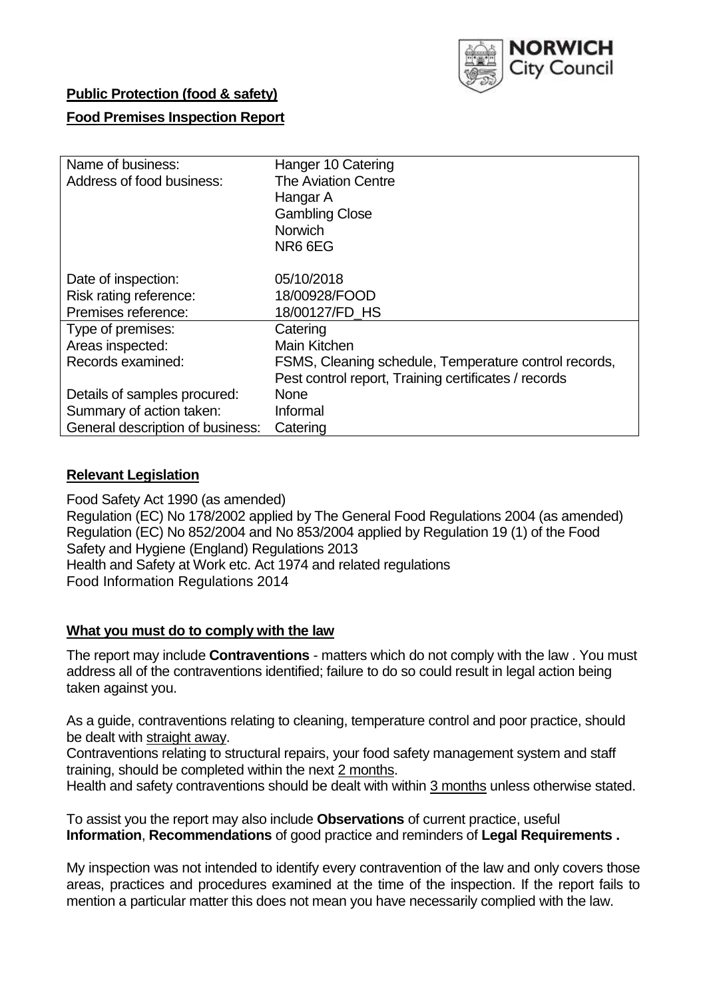

# **Public Protection (food & safety)**

# **Food Premises Inspection Report**

| Name of business:                | Hanger 10 Catering                                    |
|----------------------------------|-------------------------------------------------------|
| Address of food business:        | <b>The Aviation Centre</b>                            |
|                                  | Hangar A                                              |
|                                  | <b>Gambling Close</b>                                 |
|                                  | <b>Norwich</b>                                        |
|                                  | NR66EG                                                |
|                                  |                                                       |
| Date of inspection:              | 05/10/2018                                            |
| Risk rating reference:           | 18/00928/FOOD                                         |
| Premises reference:              | 18/00127/FD HS                                        |
| Type of premises:                | Catering                                              |
| Areas inspected:                 | Main Kitchen                                          |
| Records examined:                | FSMS, Cleaning schedule, Temperature control records, |
|                                  | Pest control report, Training certificates / records  |
| Details of samples procured:     | <b>None</b>                                           |
| Summary of action taken:         | Informal                                              |
| General description of business: | Catering                                              |

#### **Relevant Legislation**

Food Safety Act 1990 (as amended) Regulation (EC) No 178/2002 applied by The General Food Regulations 2004 (as amended) Regulation (EC) No 852/2004 and No 853/2004 applied by Regulation 19 (1) of the Food Safety and Hygiene (England) Regulations 2013 Health and Safety at Work etc. Act 1974 and related regulations Food Information Regulations 2014

#### **What you must do to comply with the law**

The report may include **Contraventions** - matters which do not comply with the law . You must address all of the contraventions identified; failure to do so could result in legal action being taken against you.

As a guide, contraventions relating to cleaning, temperature control and poor practice, should be dealt with straight away.

Contraventions relating to structural repairs, your food safety management system and staff training, should be completed within the next 2 months.

Health and safety contraventions should be dealt with within 3 months unless otherwise stated.

To assist you the report may also include **Observations** of current practice, useful **Information**, **Recommendations** of good practice and reminders of **Legal Requirements .**

My inspection was not intended to identify every contravention of the law and only covers those areas, practices and procedures examined at the time of the inspection. If the report fails to mention a particular matter this does not mean you have necessarily complied with the law.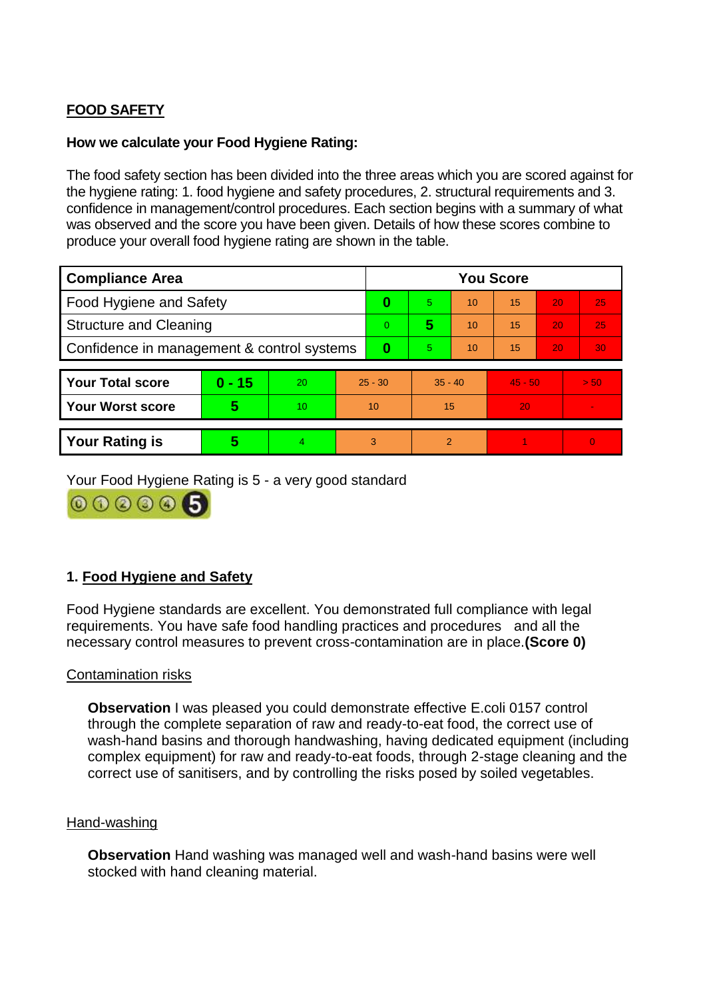# **FOOD SAFETY**

# **How we calculate your Food Hygiene Rating:**

The food safety section has been divided into the three areas which you are scored against for the hygiene rating: 1. food hygiene and safety procedures, 2. structural requirements and 3. confidence in management/control procedures. Each section begins with a summary of what was observed and the score you have been given. Details of how these scores combine to produce your overall food hygiene rating are shown in the table.

| <b>Compliance Area</b>                     |          |    |           | <b>You Score</b> |                |    |           |    |          |  |  |
|--------------------------------------------|----------|----|-----------|------------------|----------------|----|-----------|----|----------|--|--|
| Food Hygiene and Safety                    |          |    |           | 0                | 5              | 10 | 15        | 20 | 25       |  |  |
| <b>Structure and Cleaning</b>              |          |    | $\Omega$  | 5                | 10             | 15 | 20        | 25 |          |  |  |
| Confidence in management & control systems |          |    | 0         | 5                | 10             | 15 | 20        | 30 |          |  |  |
|                                            |          |    |           |                  |                |    |           |    |          |  |  |
| <b>Your Total score</b>                    | $0 - 15$ | 20 | $25 - 30$ |                  | $35 - 40$      |    | $45 - 50$ |    | > 50     |  |  |
| <b>Your Worst score</b>                    | 5        | 10 | 10        |                  | 15             |    | 20        |    |          |  |  |
|                                            |          |    |           |                  |                |    |           |    |          |  |  |
| <b>Your Rating is</b>                      | 5        | 4  | 3         |                  | $\mathfrak{p}$ |    |           |    | $\Omega$ |  |  |

Your Food Hygiene Rating is 5 - a very good standard

000006

# **1. Food Hygiene and Safety**

Food Hygiene standards are excellent. You demonstrated full compliance with legal requirements. You have safe food handling practices and procedures and all the necessary control measures to prevent cross-contamination are in place.**(Score 0)**

# Contamination risks

**Observation** I was pleased you could demonstrate effective E.coli 0157 control through the complete separation of raw and ready-to-eat food, the correct use of wash-hand basins and thorough handwashing, having dedicated equipment (including complex equipment) for raw and ready-to-eat foods, through 2-stage cleaning and the correct use of sanitisers, and by controlling the risks posed by soiled vegetables.

# Hand-washing

**Observation** Hand washing was managed well and wash-hand basins were well stocked with hand cleaning material.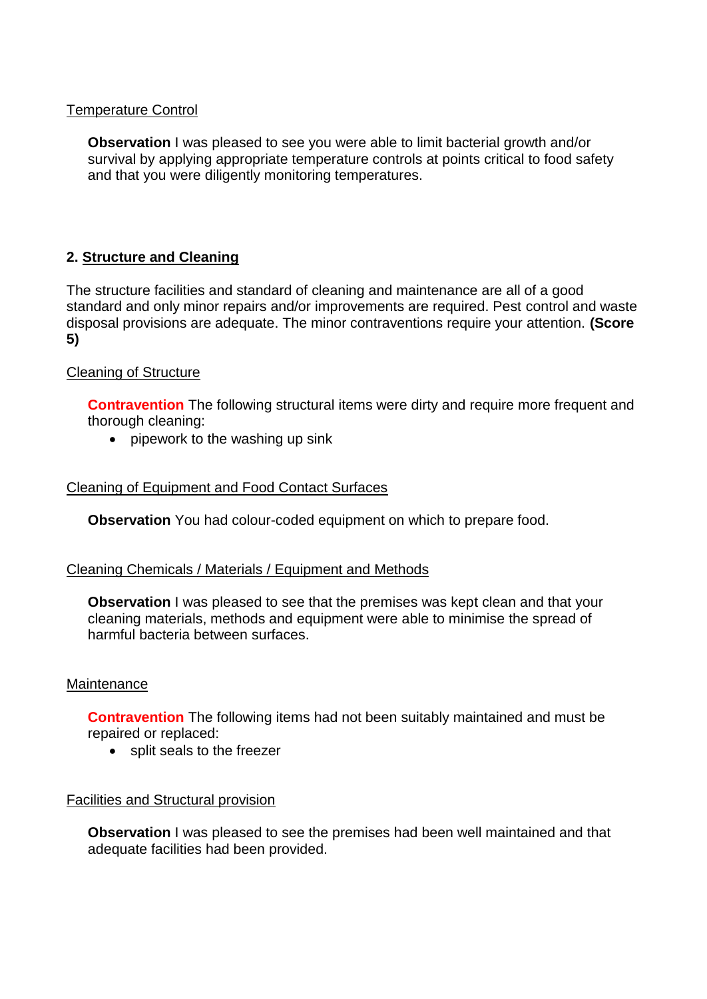# Temperature Control

**Observation** I was pleased to see you were able to limit bacterial growth and/or survival by applying appropriate temperature controls at points critical to food safety and that you were diligently monitoring temperatures.

# **2. Structure and Cleaning**

The structure facilities and standard of cleaning and maintenance are all of a good standard and only minor repairs and/or improvements are required. Pest control and waste disposal provisions are adequate. The minor contraventions require your attention. **(Score 5)**

# Cleaning of Structure

**Contravention** The following structural items were dirty and require more frequent and thorough cleaning:

• pipework to the washing up sink

# Cleaning of Equipment and Food Contact Surfaces

**Observation** You had colour-coded equipment on which to prepare food.

# Cleaning Chemicals / Materials / Equipment and Methods

**Observation** I was pleased to see that the premises was kept clean and that your cleaning materials, methods and equipment were able to minimise the spread of harmful bacteria between surfaces.

# Maintenance

**Contravention** The following items had not been suitably maintained and must be repaired or replaced:

• split seals to the freezer

# Facilities and Structural provision

**Observation** I was pleased to see the premises had been well maintained and that adequate facilities had been provided.